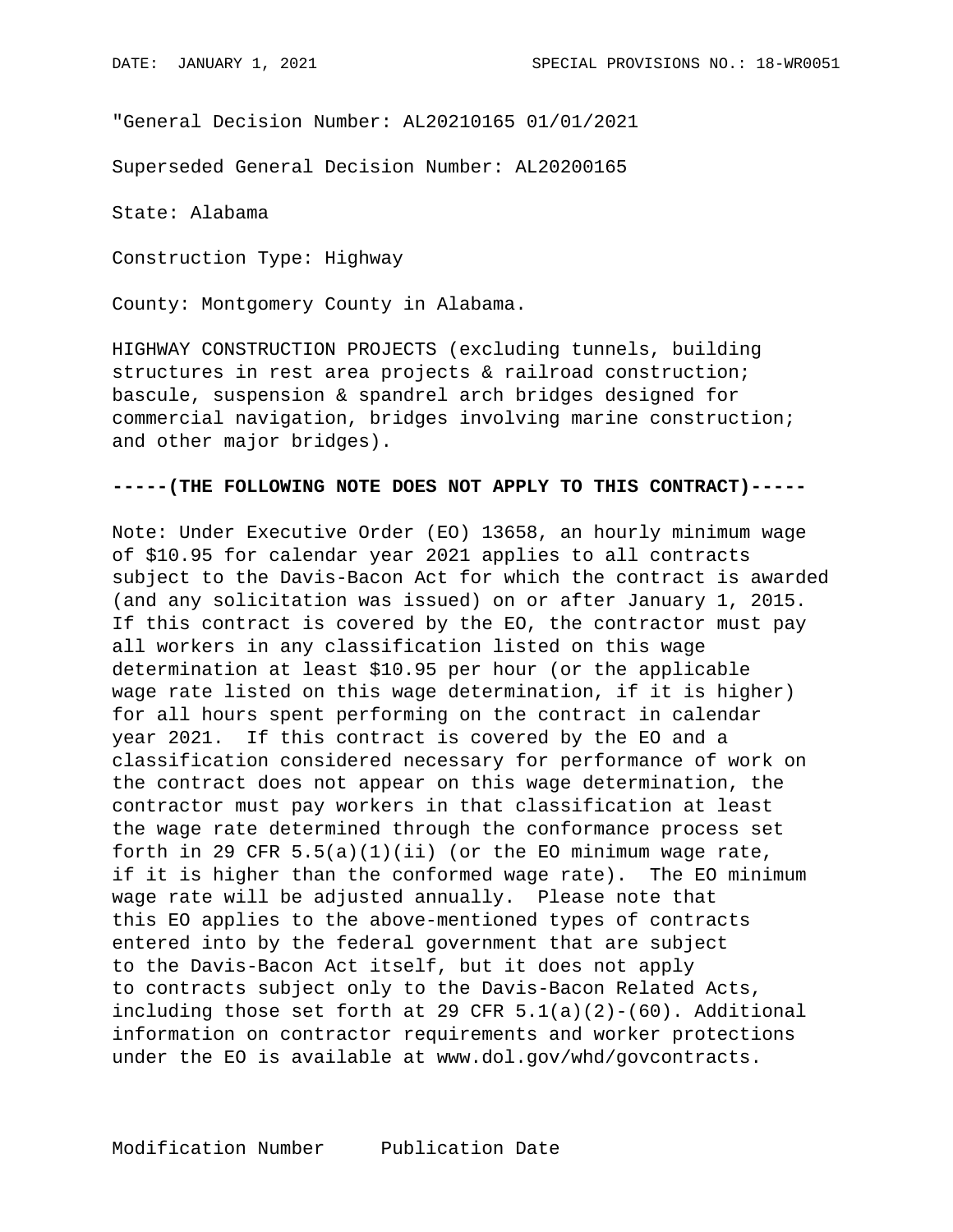"General Decision Number: AL20210165 01/01/2021

Superseded General Decision Number: AL20200165

State: Alabama

Construction Type: Highway

County: Montgomery County in Alabama.

HIGHWAY CONSTRUCTION PROJECTS (excluding tunnels, building structures in rest area projects & railroad construction; bascule, suspension & spandrel arch bridges designed for commercial navigation, bridges involving marine construction; and other major bridges).

## **-----(THE FOLLOWING NOTE DOES NOT APPLY TO THIS CONTRACT)-----**

Note: Under Executive Order (EO) 13658, an hourly minimum wage of \$10.95 for calendar year 2021 applies to all contracts subject to the Davis-Bacon Act for which the contract is awarded (and any solicitation was issued) on or after January 1, 2015. If this contract is covered by the EO, the contractor must pay all workers in any classification listed on this wage determination at least \$10.95 per hour (or the applicable wage rate listed on this wage determination, if it is higher) for all hours spent performing on the contract in calendar year 2021. If this contract is covered by the EO and a classification considered necessary for performance of work on the contract does not appear on this wage determination, the contractor must pay workers in that classification at least the wage rate determined through the conformance process set forth in 29 CFR  $5.5(a)(1)(ii)$  (or the EO minimum wage rate, if it is higher than the conformed wage rate). The EO minimum wage rate will be adjusted annually. Please note that this EO applies to the above-mentioned types of contracts entered into by the federal government that are subject to the Davis-Bacon Act itself, but it does not apply to contracts subject only to the Davis-Bacon Related Acts, including those set forth at 29 CFR  $5.1(a)(2)-(60)$ . Additional information on contractor requirements and worker protections under the EO is available at www.dol.gov/whd/govcontracts.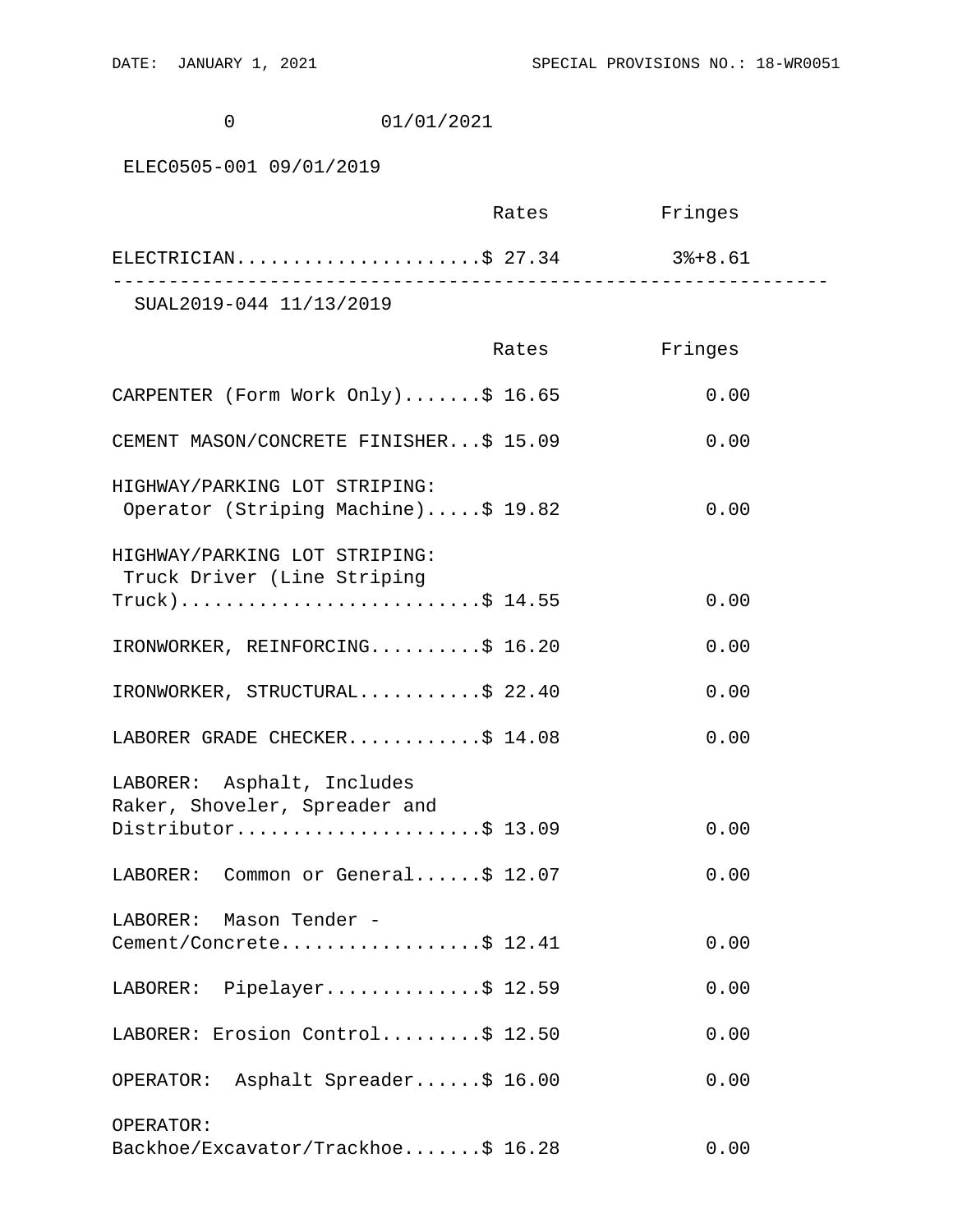0 01/01/2021

## ELEC0505-001 09/01/2019

|                         |                     | Rates | Fringes |
|-------------------------|---------------------|-------|---------|
|                         | ELECTRICIAN\$ 27.34 |       | 3%+8.61 |
| SUAL2019-044 11/13/2019 |                     |       |         |

 Rates Fringes CARPENTER (Form Work Only).......\$ 16.65 0.00 CEMENT MASON/CONCRETE FINISHER...\$ 15.09 0.00 HIGHWAY/PARKING LOT STRIPING: Operator (Striping Machine).....\$ 19.82 0.00 HIGHWAY/PARKING LOT STRIPING: Truck Driver (Line Striping  $True k) \ldots \ldots \ldots \ldots \ldots \ldots \ldots \ldots \div 14.55$  0.00 IRONWORKER, REINFORCING..........\$ 16.20 0.00 IRONWORKER, STRUCTURAL............\$ 22.40 0.00 LABORER GRADE CHECKER.............\$ 14.08 0.00 LABORER: Asphalt, Includes Raker, Shoveler, Spreader and Distributor.......................\$ 13.09 0.00 LABORER: Common or General......\$ 12.07 0.00 LABORER: Mason Tender - Cement/Concrete..................\$ 12.41 0.00 LABORER: Pipelayer...............\$ 12.59 0.00 LABORER: Erosion Control.........\$ 12.50 0.00 OPERATOR: Asphalt Spreader......\$ 16.00 0.00 OPERATOR: Backhoe/Excavator/Trackhoe.......\$ 16.28 0.00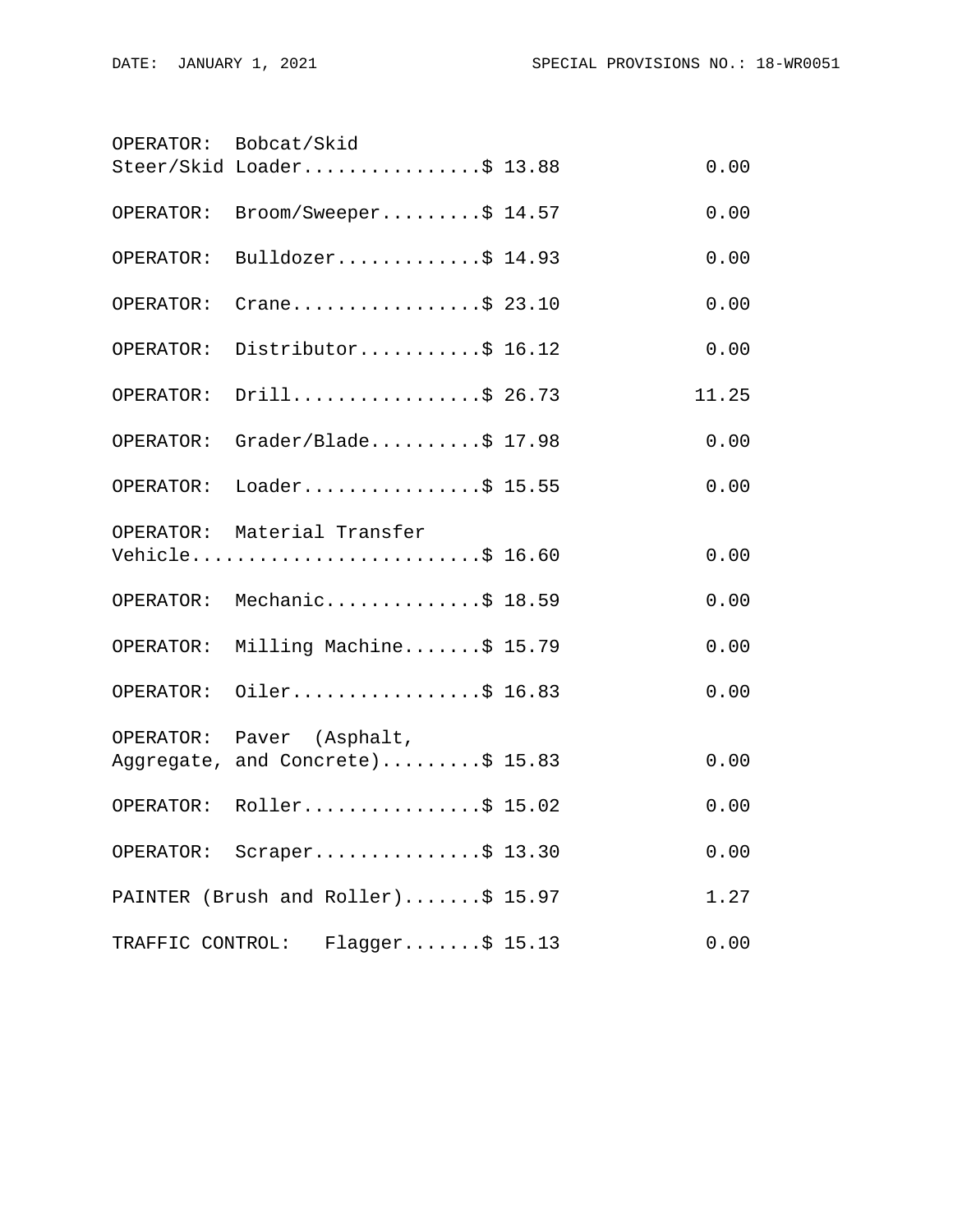|                  | OPERATOR: Bobcat/Skid                                         |       |
|------------------|---------------------------------------------------------------|-------|
|                  | Steer/Skid Loader\$ 13.88                                     | 0.00  |
| OPERATOR:        | Broom/Sweeper\$ 14.57                                         | 0.00  |
|                  | OPERATOR: Bulldozer\$ 14.93                                   | 0.00  |
| OPERATOR:        | Crane\$ 23.10                                                 | 0.00  |
|                  | OPERATOR: Distributor\$ 16.12                                 | 0.00  |
| OPERATOR:        | Drill\$ 26.73                                                 | 11.25 |
|                  | OPERATOR: Grader/Blade\$ 17.98                                | 0.00  |
|                  | OPERATOR: Loader\$ 15.55                                      | 0.00  |
|                  | OPERATOR: Material Transfer<br>Vehicle\$ 16.60                | 0.00  |
|                  | OPERATOR: Mechanic\$ 18.59                                    | 0.00  |
|                  | OPERATOR: Milling Machine\$ 15.79                             | 0.00  |
| OPERATOR:        | Oiler\$ 16.83                                                 | 0.00  |
|                  | OPERATOR: Paver (Asphalt,<br>Aggregate, and Concrete)\$ 15.83 | 0.00  |
|                  | OPERATOR: Roller\$ 15.02                                      | 0.00  |
|                  | OPERATOR: Scraper\$ 13.30                                     | 0.00  |
|                  | PAINTER (Brush and Roller)\$ 15.97                            | 1.27  |
| TRAFFIC CONTROL: | $Flagger$ \$ 15.13                                            | 0.00  |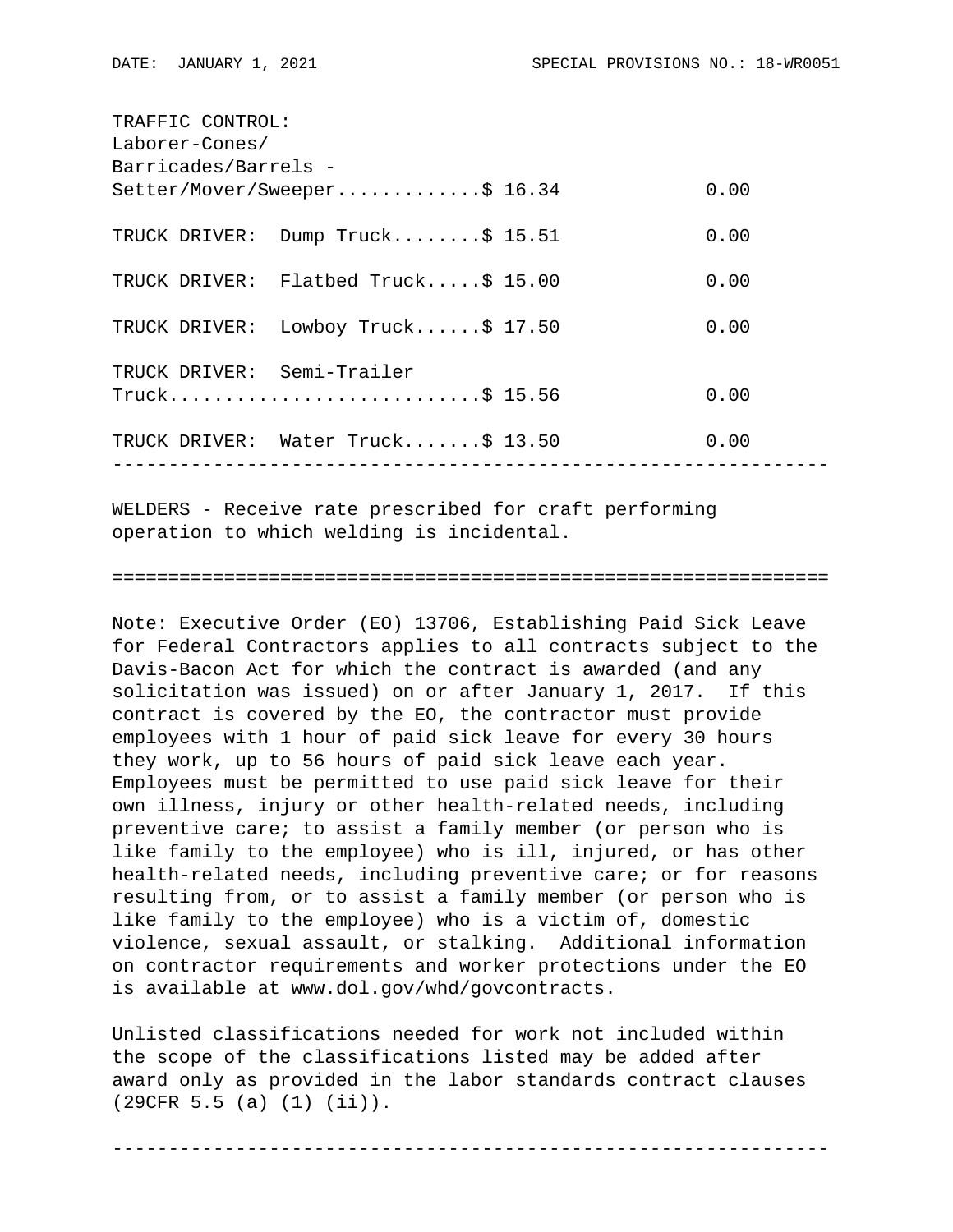| TRAFFIC CONTROL:           |                                     |  |      |  |  |  |
|----------------------------|-------------------------------------|--|------|--|--|--|
| Laborer-Cones/             |                                     |  |      |  |  |  |
| Barricades/Barrels -       |                                     |  |      |  |  |  |
|                            | Setter/Mover/Sweeper\$ 16.34        |  | 0.00 |  |  |  |
|                            | TRUCK DRIVER: Dump Truck\$ 15.51    |  | 0.00 |  |  |  |
|                            | TRUCK DRIVER: Flatbed Truck\$ 15.00 |  | 0.00 |  |  |  |
|                            | TRUCK DRIVER: Lowboy Truck\$ 17.50  |  | 0.00 |  |  |  |
| TRUCK DRIVER: Semi-Trailer |                                     |  |      |  |  |  |
|                            | $True k$ \$ 15.56                   |  | 0.00 |  |  |  |
|                            | TRUCK DRIVER: Water Truck\$ 13.50   |  | 0.00 |  |  |  |
|                            |                                     |  |      |  |  |  |

WELDERS - Receive rate prescribed for craft performing operation to which welding is incidental.

## ================================================================

Note: Executive Order (EO) 13706, Establishing Paid Sick Leave for Federal Contractors applies to all contracts subject to the Davis-Bacon Act for which the contract is awarded (and any solicitation was issued) on or after January 1, 2017. If this contract is covered by the EO, the contractor must provide employees with 1 hour of paid sick leave for every 30 hours they work, up to 56 hours of paid sick leave each year. Employees must be permitted to use paid sick leave for their own illness, injury or other health-related needs, including preventive care; to assist a family member (or person who is like family to the employee) who is ill, injured, or has other health-related needs, including preventive care; or for reasons resulting from, or to assist a family member (or person who is like family to the employee) who is a victim of, domestic violence, sexual assault, or stalking. Additional information on contractor requirements and worker protections under the EO is available at www.dol.gov/whd/govcontracts.

Unlisted classifications needed for work not included within the scope of the classifications listed may be added after award only as provided in the labor standards contract clauses (29CFR 5.5 (a) (1) (ii)).

----------------------------------------------------------------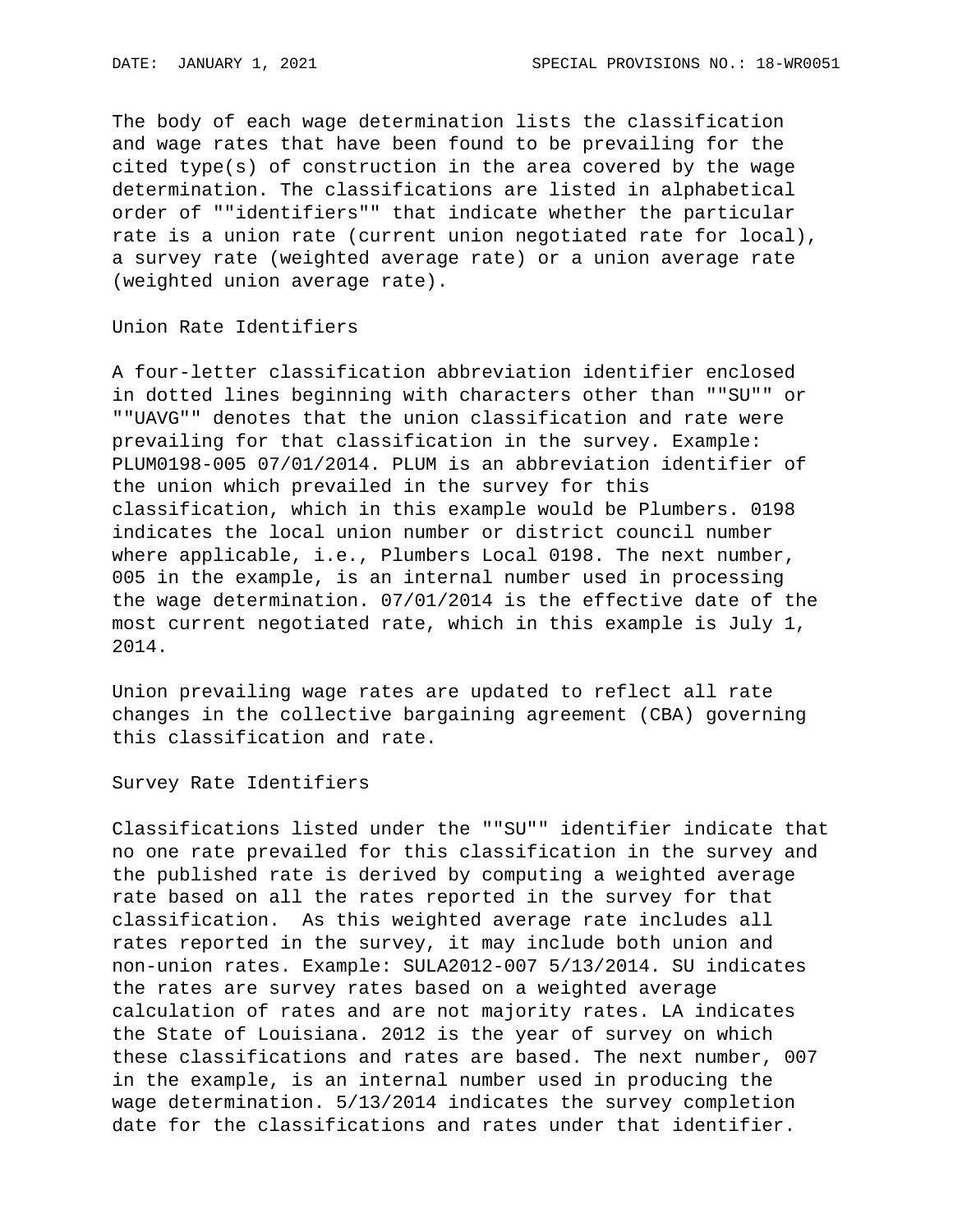The body of each wage determination lists the classification and wage rates that have been found to be prevailing for the cited type(s) of construction in the area covered by the wage determination. The classifications are listed in alphabetical order of ""identifiers"" that indicate whether the particular rate is a union rate (current union negotiated rate for local), a survey rate (weighted average rate) or a union average rate (weighted union average rate).

Union Rate Identifiers

A four-letter classification abbreviation identifier enclosed in dotted lines beginning with characters other than ""SU"" or ""UAVG"" denotes that the union classification and rate were prevailing for that classification in the survey. Example: PLUM0198-005 07/01/2014. PLUM is an abbreviation identifier of the union which prevailed in the survey for this classification, which in this example would be Plumbers. 0198 indicates the local union number or district council number where applicable, i.e., Plumbers Local 0198. The next number, 005 in the example, is an internal number used in processing the wage determination. 07/01/2014 is the effective date of the most current negotiated rate, which in this example is July 1, 2014.

Union prevailing wage rates are updated to reflect all rate changes in the collective bargaining agreement (CBA) governing this classification and rate.

Survey Rate Identifiers

Classifications listed under the ""SU"" identifier indicate that no one rate prevailed for this classification in the survey and the published rate is derived by computing a weighted average rate based on all the rates reported in the survey for that classification. As this weighted average rate includes all rates reported in the survey, it may include both union and non-union rates. Example: SULA2012-007 5/13/2014. SU indicates the rates are survey rates based on a weighted average calculation of rates and are not majority rates. LA indicates the State of Louisiana. 2012 is the year of survey on which these classifications and rates are based. The next number, 007 in the example, is an internal number used in producing the wage determination. 5/13/2014 indicates the survey completion date for the classifications and rates under that identifier.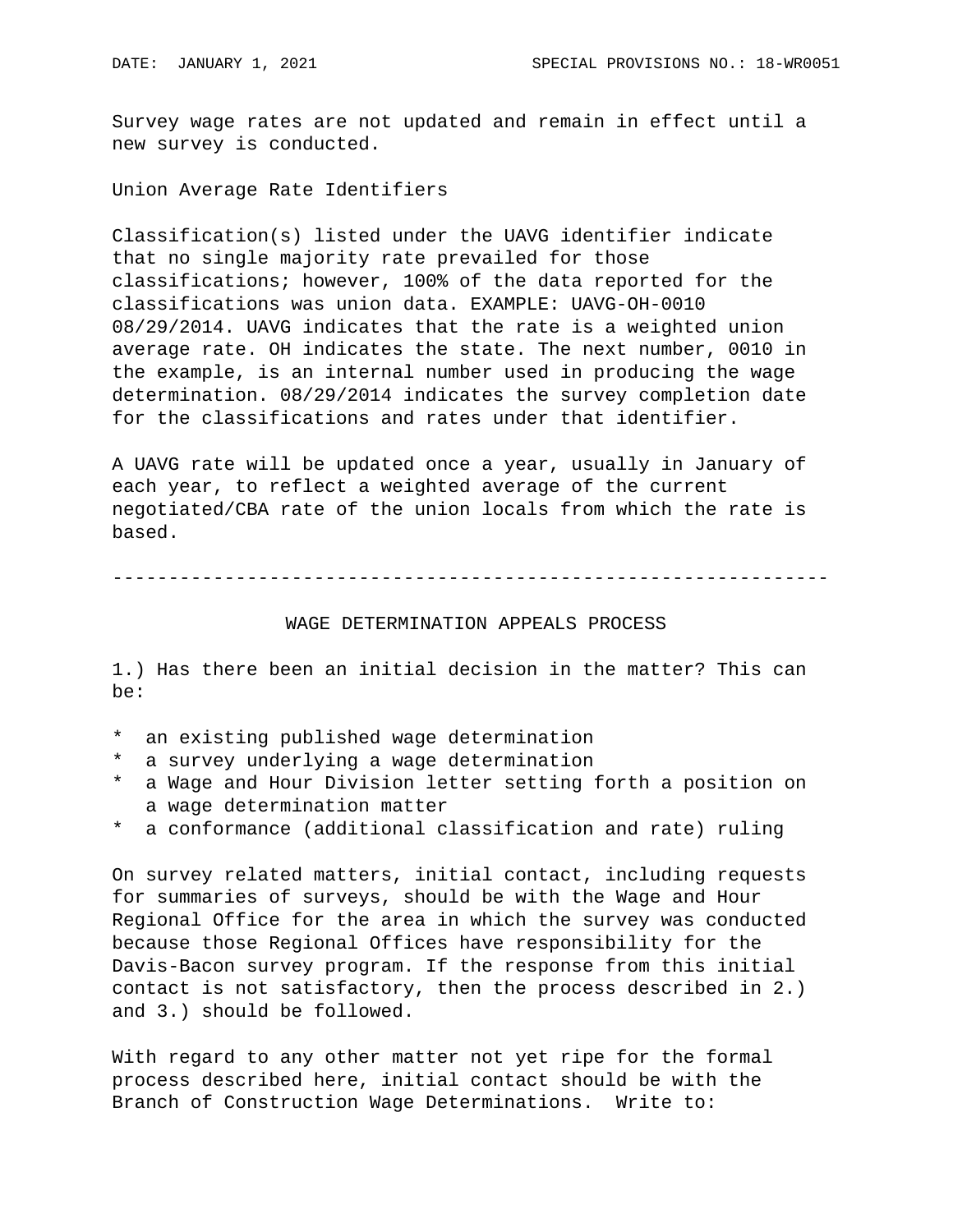Survey wage rates are not updated and remain in effect until a new survey is conducted.

Union Average Rate Identifiers

Classification(s) listed under the UAVG identifier indicate that no single majority rate prevailed for those classifications; however, 100% of the data reported for the classifications was union data. EXAMPLE: UAVG-OH-0010 08/29/2014. UAVG indicates that the rate is a weighted union average rate. OH indicates the state. The next number, 0010 in the example, is an internal number used in producing the wage determination. 08/29/2014 indicates the survey completion date for the classifications and rates under that identifier.

A UAVG rate will be updated once a year, usually in January of each year, to reflect a weighted average of the current negotiated/CBA rate of the union locals from which the rate is based.

----------------------------------------------------------------

## WAGE DETERMINATION APPEALS PROCESS

1.) Has there been an initial decision in the matter? This can be:

- \* an existing published wage determination
- \* a survey underlying a wage determination
- \* a Wage and Hour Division letter setting forth a position on a wage determination matter
- \* a conformance (additional classification and rate) ruling

On survey related matters, initial contact, including requests for summaries of surveys, should be with the Wage and Hour Regional Office for the area in which the survey was conducted because those Regional Offices have responsibility for the Davis-Bacon survey program. If the response from this initial contact is not satisfactory, then the process described in 2.) and 3.) should be followed.

With regard to any other matter not yet ripe for the formal process described here, initial contact should be with the Branch of Construction Wage Determinations. Write to: